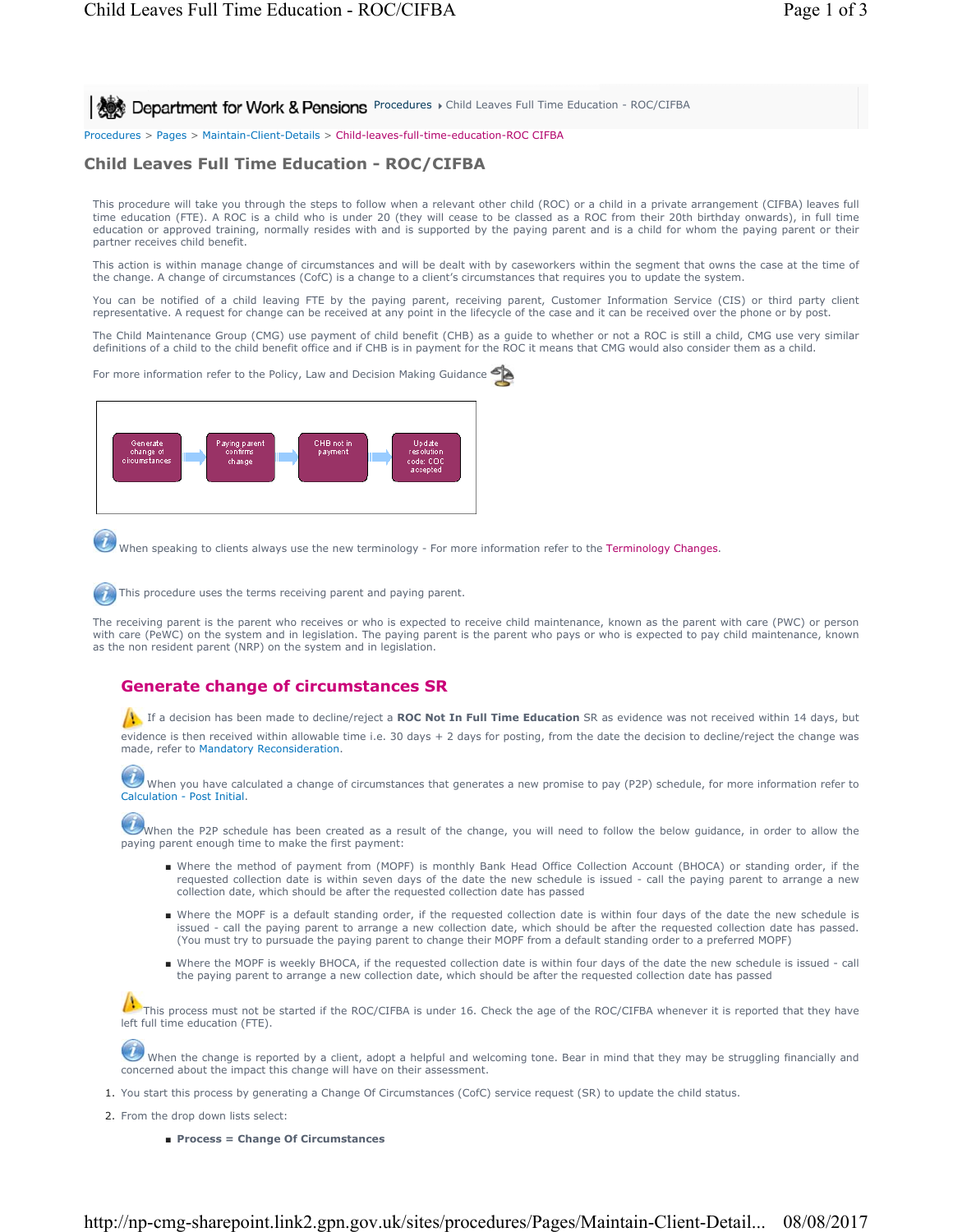**Procedures > Child Leaves Full Time Education - ROC/CIFBA** 

Procedures > Pages > Maintain-Client-Details > Child-leaves-full-time-education-ROC CIFBA

# **Child Leaves Full Time Education - ROC/CIFBA**

This procedure will take you through the steps to follow when a relevant other child (ROC) or a child in a private arrangement (CIFBA) leaves full time education (FTE). A ROC is a child who is under 20 (they will cease to be classed as a ROC from their 20th birthday onwards), in full time education or approved training, normally resides with and is supported by the paying parent and is a child for whom the paying parent or their partner receives child benefit.

This action is within manage change of circumstances and will be dealt with by caseworkers within the segment that owns the case at the time of the change. A change of circumstances (CofC) is a change to a client's circumstances that requires you to update the system.

You can be notified of a child leaving FTE by the paying parent, receiving parent, Customer Information Service (CIS) or third party client representative. A request for change can be received at any point in the lifecycle of the case and it can be received over the phone or by post.

The Child Maintenance Group (CMG) use payment of child benefit (CHB) as a guide to whether or not a ROC is still a child, CMG use very similar<br>definitions of a child to the child benefit office and if CHB is in payment for

For more information refer to the Policy, Law and Decision Making Guidance



When speaking to clients always use the new terminology - For more information refer to the Terminology Changes.

This procedure uses the terms receiving parent and paying parent.

The receiving parent is the parent who receives or who is expected to receive child maintenance, known as the parent with care (PWC) or person with care (PeWC) on the system and in legislation. The paying parent is the parent who pays or who is expected to pay child maintenance, known as the non resident parent (NRP) on the system and in legislation.

# **Generate change of circumstances SR**

If a decision has been made to decline/reject a **ROC Not In Full Time Education** SR as evidence was not received within 14 days, but

evidence is then received within allowable time i.e. 30 days + 2 days for posting, from the date the decision to decline/reject the change was made, refer to Mandatory Reconsideration.

 When you have calculated a change of circumstances that generates a new promise to pay (P2P) schedule, for more information refer to Calculation - Post Initial.

When the P2P schedule has been created as a result of the change, you will need to follow the below guidance, in order to allow the paying parent enough time to make the first payment:

- Where the method of payment from (MOPF) is monthly Bank Head Office Collection Account (BHOCA) or standing order, if the requested collection date is within seven days of the date the new schedule is issued - call the paying parent to arrange a new collection date, which should be after the requested collection date has passed
- Where the MOPF is a default standing order, if the requested collection date is within four days of the date the new schedule is issued - call the paying parent to arrange a new collection date, which should be after the requested collection date has passed. (You must try to pursuade the paying parent to change their MOPF from a default standing order to a preferred MOPF)
- Where the MOPF is weekly BHOCA, if the requested collection date is within four days of the date the new schedule is issued call the paying parent to arrange a new collection date, which should be after the requested collection date has passed

This process must not be started if the ROC/CIFBA is under 16. Check the age of the ROC/CIFBA whenever it is reported that they have left full time education (FTE).

When the change is reported by a client, adopt a helpful and welcoming tone. Bear in mind that they may be struggling financially and concerned about the impact this change will have on their assessment.

- 1. You start this process by generating a Change Of Circumstances (CofC) service request (SR) to update the child status.
- 2. From the drop down lists select:
	- **Process = Change Of Circumstances**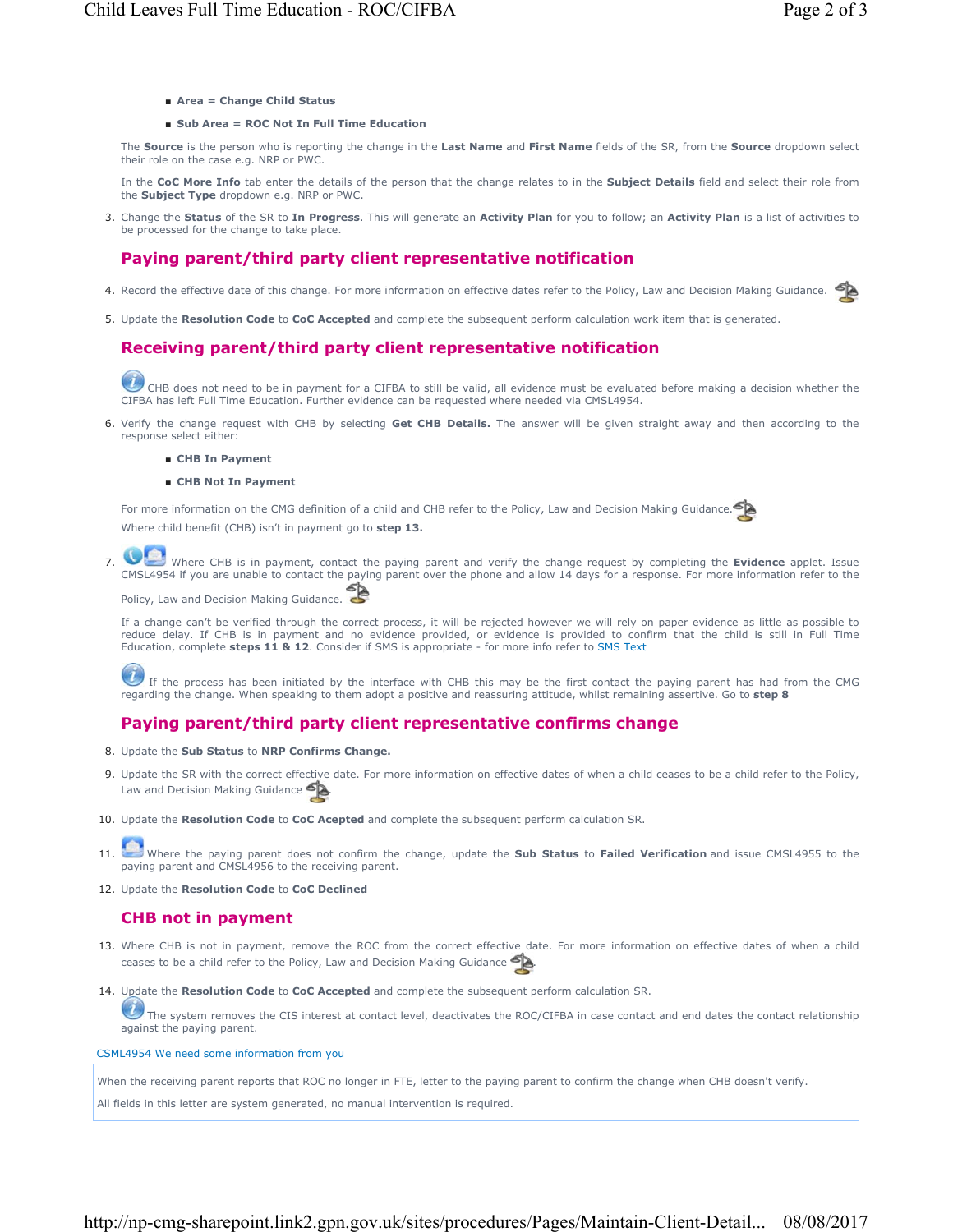- **Area = Change Child Status**
- **Sub Area = ROC Not In Full Time Education**

The **Source** is the person who is reporting the change in the **Last Name** and **First Name** fields of the SR, from the **Source** dropdown select their role on the case e.g. NRP or PWC.

In the **CoC More Info** tab enter the details of the person that the change relates to in the **Subject Details** field and select their role from the **Subject Type** dropdown e.g. NRP or PWC.

Change the **Status** of the SR to **In Progress**. This will generate an **Activity Plan** for you to follow; an **Activity Plan** is a list of activities to 3. be processed for the change to take place.

# **Paying parent/third party client representative notification**

- 4. Record the effective date of this change. For more information on effective dates refer to the Policy, Law and Decision Making Guidance.
- 5. Update the **Resolution Code** to **CoC Accepted** and complete the subsequent perform calculation work item that is generated.

# **Receiving parent/third party client representative notification**

CHB does not need to be in payment for a CIFBA to still be valid, all evidence must be evaluated before making a decision whether the CIFBA has left Full Time Education. Further evidence can be requested where needed via CMSL4954.

- 6. Verify the change request with CHB by selecting Get CHB Details. The answer will be given straight away and then according to the response select either:
	- **CHB In Payment**
	- **CHB Not In Payment**

For more information on the CMG definition of a child and CHB refer to the Policy, Law and Decision Making Guidance. Where child benefit (CHB) isn't in payment go to **step 13.**



Where CHB is in payment, contact the paying parent and verify the change request by completing the **Evidence** applet. Issue CMSL4954 if you are unable to contact the paying parent over the phone and allow 14 days for a response. For more information refer to the 7.

Policy, Law and Decision Making Guidance.

If a change can't be verified through the correct process, it will be rejected however we will rely on paper evidence as little as possible to reduce delay. If CHB is in payment and no evidence provided, or evidence is provided to confirm that the child is still in Full Time Education, complete **steps 11 & 12**. Consider if SMS is appropriate - for more info refer to SMS Text

If the process has been initiated by the interface with CHB this may be the first contact the paying parent has had from the CMG regarding the change. When speaking to them adopt a positive and reassuring attitude, whilst remaining assertive. Go to **step 8**

# **Paying parent/third party client representative confirms change**

- 8. Update the **Sub Status** to **NRP Confirms Change.**
- 9. Update the SR with the correct effective date. For more information on effective dates of when a child ceases to be a child refer to the Policy, Law and Decision Making Guidance
- 10. Update the **Resolution Code** to **CoC Acepted** and complete the subsequent perform calculation SR.
- Where the paying parent does not confirm the change, update the **Sub Status** to **Failed Verification** and issue CMSL4955 to the paying parent and CMSL4956 to the receiving parent. 11.
- 12. Update the **Resolution Code** to **CoC Declined**

## **CHB not in payment**

- 13. Where CHB is not in payment, remove the ROC from the correct effective date. For more information on effective dates of when a child ceases to be a child refer to the Policy, Law and Decision Making Guidance
- 14. Update the Resolution Code to CoC Accepted and complete the subsequent perform calculation SR.

رال The system removes the CIS interest at contact level, deactivates the ROC/CIFBA in case contact and end dates the contact relationship against the paying parent.

CSML4954 We need some information from you

When the receiving parent reports that ROC no longer in FTE, letter to the paying parent to confirm the change when CHB doesn't verify.

All fields in this letter are system generated, no manual intervention is required.